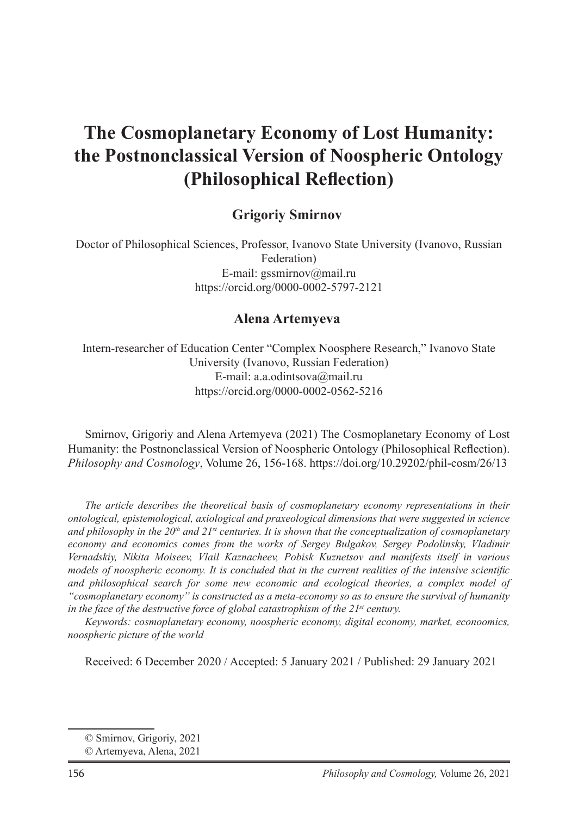# **The Cosmoplanetary Economy of Lost Humanity: the Postnonclassical Version of Noospheric Ontology (Philosophical Reflection)**

#### **Grigoriy Smirnov**

Doctor of Philosophical Sciences, Professor, Ivanovo State University (Ivanovo, Russian Federation) E-mail: gssmirnov@mail.ru https://orcid.org/0000-0002-5797-2121

#### **Alena Artemyeva**<sup>2</sup>

Intern-researcher of Education Center "Complex Noosphere Research," Ivanovo State University (Ivanovo, Russian Federation) E-mail: a.a.odintsova@mail.ru https://orcid.org/0000-0002-0562-5216

Smirnov, Grigoriy and Alena Artemyeva (2021) The Cosmoplanetary Economy of Lost Humanity: the Postnonclassical Version of Noospheric Ontology (Philosophical Reflection). *Philosophy and Cosmology*, Volume 26, 156-168. https://doi.org/10.29202/phil-cosm/26/13

*The article describes the theoretical basis of cosmoplanetary economy representations in their ontological, epistemological, axiological and praxeological dimensions that were suggested in science*  and philosophy in the 20<sup>th</sup> and 21<sup>st</sup> centuries. It is shown that the conceptualization of cosmoplanetary *economy and economics comes from the works of Sergey Bulgakov, Sergey Podolinsky, Vladimir Vernadskiy, Nikita Moiseev, Vlail Kaznacheev, Pobisk Kuznetsov and manifests itself in various models of noospheric economy. It is concluded that in the current realities of the intensive scientific and philosophical search for some new economic and ecological theories, a complex model of "cosmoplanetary economy" is constructed as a meta-economy so as to ensure the survival of humanity in the face of the destructive force of global catastrophism of the 21st century.*

*Keywords: cosmoplanetary economy, noospheric economy, digital economy, market, econoomics, noospheric picture of the world*

Received: 6 December 2020 / Accepted: 5 January 2021 / Published: 29 January 2021

<sup>©</sup> Smirnov, Grigoriy, 2021

<sup>©</sup> Artemyeva, Alena, 2021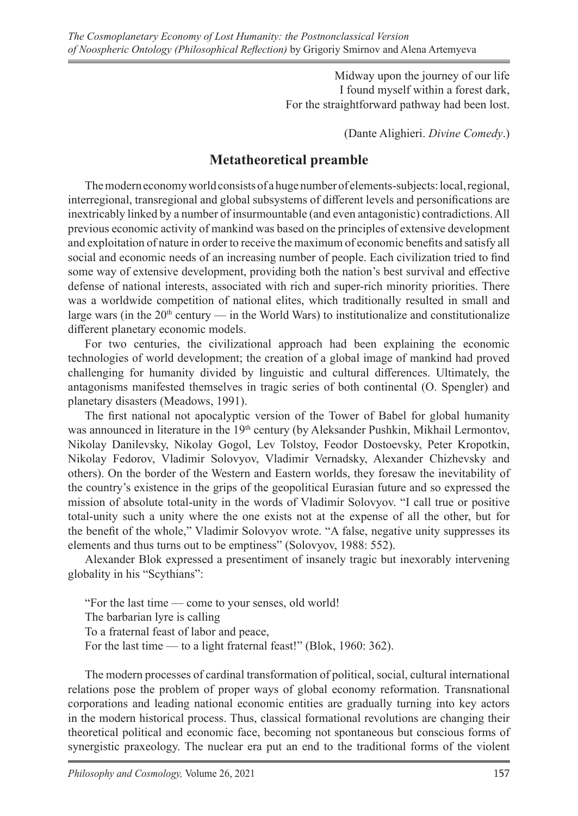Midway upon the journey of our life I found myself within a forest dark, For the straightforward pathway had been lost.

(Dante Alighieri. *Divine Comedy*.)

# **Metatheoretical preamble**

The modern economy world consists of a huge number of elements-subjects: local, regional, interregional, transregional and global subsystems of different levels and personifications are inextricably linked by a number of insurmountable (and even antagonistic) contradictions. All previous economic activity of mankind was based on the principles of extensive development and exploitation of nature in order to receive the maximum of economic benefits and satisfy all social and economic needs of an increasing number of people. Each civilization tried to find some way of extensive development, providing both the nation's best survival and effective defense of national interests, associated with rich and super-rich minority priorities. There was a worldwide competition of national elites, which traditionally resulted in small and large wars (in the  $20<sup>th</sup>$  century — in the World Wars) to institutionalize and constitutionalize different planetary economic models.

For two centuries, the civilizational approach had been explaining the economic technologies of world development; the creation of a global image of mankind had proved challenging for humanity divided by linguistic and cultural differences. Ultimately, the antagonisms manifested themselves in tragic series of both continental (O. Spengler) and planetary disasters (Meadows, 1991).

The first national not apocalyptic version of the Tower of Babel for global humanity was announced in literature in the 19<sup>th</sup> century (by Aleksander Pushkin, Mikhail Lermontov, Nikolay Danilevsky, Nikolay Gogol, Lev Tolstoy, Feodor Dostoevsky, Peter Kropotkin, Nikolay Fedorov, Vladimir Solovyov, Vladimir Vernadsky, Alexander Chizhevsky and others). On the border of the Western and Eastern worlds, they foresaw the inevitability of the country's existence in the grips of the geopolitical Eurasian future and so expressed the mission of absolute total-unity in the words of Vladimir Solovyov. "I call true or positive total-unity such a unity where the one exists not at the expense of all the other, but for the benefit of the whole," Vladimir Solovyov wrote. "A false, negative unity suppresses its elements and thus turns out to be emptiness" (Solovyov, 1988: 552).

Alexander Blok expressed a presentiment of insanely tragic but inexorably intervening globality in his "Scythians":

"For the last time — come to your senses, old world! The barbarian lyre is calling To a fraternal feast of labor and peace, For the last time — to a light fraternal feast!" (Blok, 1960: 362).

The modern processes of cardinal transformation of political, social, cultural international relations pose the problem of proper ways of global economy reformation. Transnational corporations and leading national economic entities are gradually turning into key actors in the modern historical process. Thus, classical formational revolutions are changing their theoretical political and economic face, becoming not spontaneous but conscious forms of synergistic praxeology. The nuclear era put an end to the traditional forms of the violent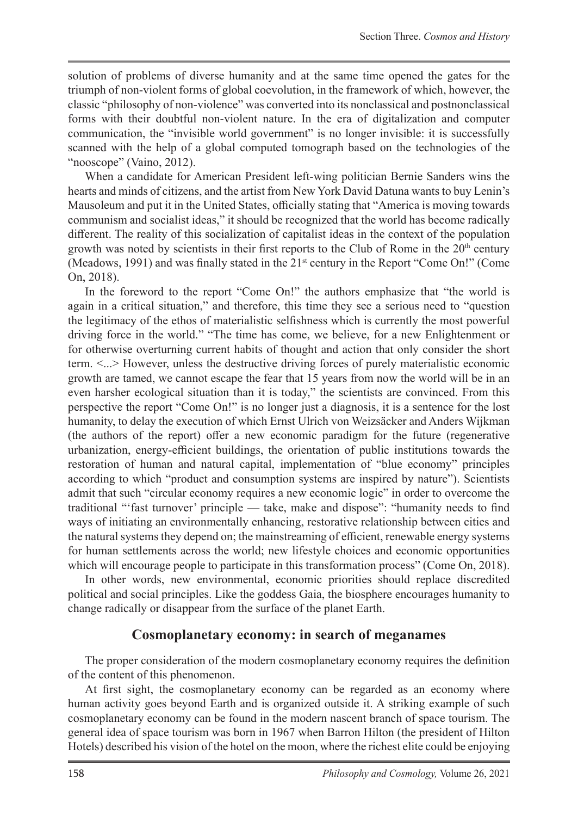solution of problems of diverse humanity and at the same time opened the gates for the triumph of non-violent forms of global coevolution, in the framework of which, however, the classic "philosophy of non-violence" was converted into its nonclassical and postnonclassical forms with their doubtful non-violent nature. In the era of digitalization and computer communication, the "invisible world government" is no longer invisible: it is successfully scanned with the help of a global computed tomograph based on the technologies of the "nooscope" (Vaino, 2012).

When a candidate for American President left-wing politician Bernie Sanders wins the hearts and minds of citizens, and the artist from New York David Datuna wants to buy Lenin's Mausoleum and put it in the United States, officially stating that "America is moving towards communism and socialist ideas," it should be recognized that the world has become radically different. The reality of this socialization of capitalist ideas in the context of the population growth was noted by scientists in their first reports to the Club of Rome in the  $20<sup>th</sup>$  century (Meadows, 1991) and was finally stated in the 21st century in the Report "Come On!" (Come On, 2018).

In the foreword to the report "Come On!" the authors emphasize that "the world is again in a critical situation," and therefore, this time they see a serious need to "question the legitimacy of the ethos of materialistic selfishness which is currently the most powerful driving force in the world." "The time has come, we believe, for a new Enlightenment or for otherwise overturning current habits of thought and action that only consider the short term. <...> However, unless the destructive driving forces of purely materialistic economic growth are tamed, we cannot escape the fear that 15 years from now the world will be in an even harsher ecological situation than it is today," the scientists are convinced. From this perspective the report "Come On!" is no longer just a diagnosis, it is a sentence for the lost humanity, to delay the execution of which Ernst Ulrich von Weizsäcker and Anders Wijkman (the authors of the report) offer a new economic paradigm for the future (regenerative urbanization, energy-efficient buildings, the orientation of public institutions towards the restoration of human and natural capital, implementation of "blue economy" principles according to which "product and consumption systems are inspired by nature"). Scientists admit that such "circular economy requires a new economic logic" in order to overcome the traditional "'fast turnover' principle — take, make and dispose": "humanity needs to find ways of initiating an environmentally enhancing, restorative relationship between cities and the natural systems they depend on; the mainstreaming of efficient, renewable energy systems for human settlements across the world; new lifestyle choices and economic opportunities which will encourage people to participate in this transformation process" (Come On, 2018).

In other words, new environmental, economic priorities should replace discredited political and social principles. Like the goddess Gaia, the biosphere encourages humanity to change radically or disappear from the surface of the planet Earth.

#### **Cosmoplanetary economy: in search of meganames**

The proper consideration of the modern cosmoplanetary economy requires the definition of the content of this phenomenon.

At first sight, the cosmoplanetary economy can be regarded as an economy where human activity goes beyond Earth and is organized outside it. A striking example of such cosmoplanetary economy can be found in the modern nascent branch of space tourism. The general idea of space tourism was born in 1967 when Barron Hilton (the president of Hilton Hotels) described his vision of the hotel on the moon, where the richest elite could be enjoying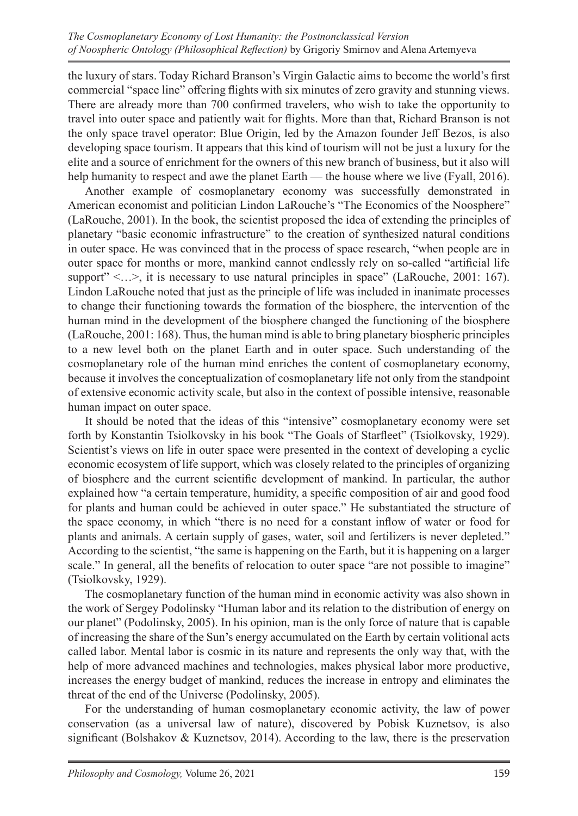the luxury of stars. Today Richard Branson's Virgin Galactic aims to become the world's first commercial "space line" offering flights with six minutes of zero gravity and stunning views. There are already more than 700 confirmed travelers, who wish to take the opportunity to travel into outer space and patiently wait for flights. More than that, Richard Branson is not the only space travel operator: Blue Origin, led by the Amazon founder Jeff Bezos, is also developing space tourism. It appears that this kind of tourism will not be just a luxury for the elite and a source of enrichment for the owners of this new branch of business, but it also will help humanity to respect and awe the planet Earth — the house where we live (Fyall, 2016).

Another example of cosmoplanetary economy was successfully demonstrated in American economist and politician Lindon LaRouche's "The Economics of the Noosphere" (LaRouche, 2001). In the book, the scientist proposed the idea of extending the principles of planetary "basic economic infrastructure" to the creation of synthesized natural conditions in outer space. He was convinced that in the process of space research, "when people are in outer space for months or more, mankind cannot endlessly rely on so-called "artificial life support"  $\langle \ldots \rangle$ , it is necessary to use natural principles in space" (LaRouche, 2001: 167). Lindon LaRouche noted that just as the principle of life was included in inanimate processes to change their functioning towards the formation of the biosphere, the intervention of the human mind in the development of the biosphere changed the functioning of the biosphere (LaRouche, 2001: 168). Thus, the human mind is able to bring planetary biospheric principles to a new level both on the planet Earth and in outer space. Such understanding of the cosmoplanetary role of the human mind enriches the content of cosmoplanetary economy, because it involves the conceptualization of cosmoplanetary life not only from the standpoint of extensive economic activity scale, but also in the context of possible intensive, reasonable human impact on outer space.

It should be noted that the ideas of this "intensive" cosmoplanetary economy were set forth by Konstantin Tsiolkovsky in his book "The Goals of Starfleet" (Tsiolkovsky, 1929). Scientist's views on life in outer space were presented in the context of developing a cyclic economic ecosystem of life support, which was closely related to the principles of organizing of biosphere and the current scientific development of mankind. In particular, the author explained how "a certain temperature, humidity, a specific composition of air and good food for plants and human could be achieved in outer space." He substantiated the structure of the space economy, in which "there is no need for a constant inflow of water or food for plants and animals. A certain supply of gases, water, soil and fertilizers is never depleted." According to the scientist, "the same is happening on the Earth, but it is happening on a larger scale." In general, all the benefits of relocation to outer space "are not possible to imagine" (Tsiolkovsky, 1929).

The cosmoplanetary function of the human mind in economic activity was also shown in the work of Sergey Podolinsky "Human labor and its relation to the distribution of energy on our planet" (Podolinsky, 2005). In his opinion, man is the only force of nature that is capable of increasing the share of the Sun's energy accumulated on the Earth by certain volitional acts called labor. Mental labor is cosmic in its nature and represents the only way that, with the help of more advanced machines and technologies, makes physical labor more productive, increases the energy budget of mankind, reduces the increase in entropy and eliminates the threat of the end of the Universe (Podolinsky, 2005).

For the understanding of human cosmoplanetary economic activity, the law of power conservation (as a universal law of nature), discovered by Pobisk Kuznetsov, is also significant (Bolshakov & Kuznetsov, 2014). According to the law, there is the preservation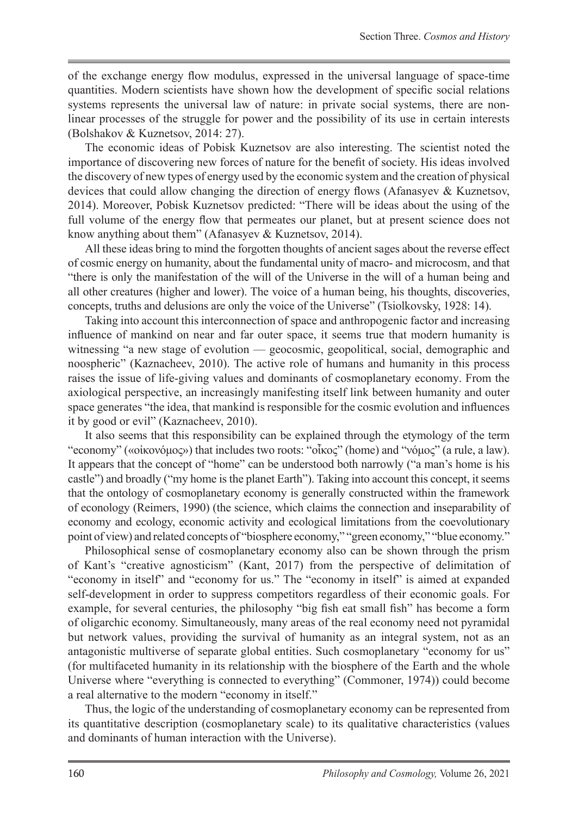of the exchange energy flow modulus, expressed in the universal language of space-time quantities. Modern scientists have shown how the development of specific social relations systems represents the universal law of nature: in private social systems, there are nonlinear processes of the struggle for power and the possibility of its use in certain interests (Bolshakov & Kuznetsov, 2014: 27).

The economic ideas of Pobisk Kuznetsov are also interesting. The scientist noted the importance of discovering new forces of nature for the benefit of society. His ideas involved the discovery of new types of energy used by the economic system and the creation of physical devices that could allow changing the direction of energy flows (Afanasyev & Kuznetsov, 2014). Moreover, Pobisk Kuznetsov predicted: "There will be ideas about the using of the full volume of the energy flow that permeates our planet, but at present science does not know anything about them" (Afanasyev & Kuznetsov, 2014).

All these ideas bring to mind the forgotten thoughts of ancient sages about the reverse effect of cosmic energy on humanity, about the fundamental unity of macro- and microcosm, and that "there is only the manifestation of the will of the Universe in the will of a human being and all other creatures (higher and lower). The voice of a human being, his thoughts, discoveries, concepts, truths and delusions are only the voice of the Universe" (Tsiolkovsky, 1928: 14).

Taking into account this interconnection of space and anthropogenic factor and increasing influence of mankind on near and far outer space, it seems true that modern humanity is witnessing "a new stage of evolution — geocosmic, geopolitical, social, demographic and noospheric" (Kaznacheev, 2010). The active role of humans and humanity in this process raises the issue of life-giving values and dominants of cosmoplanetary economy. From the axiological perspective, an increasingly manifesting itself link between humanity and outer space generates "the idea, that mankind is responsible for the cosmic evolution and influences it by good or evil" (Kaznacheev, 2010).

It also seems that this responsibility can be explained through the etymology of the term "economy" («οἰκονόμος») that includes two roots: "οἶκος" (home) and "νόμος" (a rule, a law). It appears that the concept of "home" can be understood both narrowly ("a man's home is his castle") and broadly ("my home is the planet Earth"). Taking into account this concept, it seems that the ontology of cosmoplanetary economy is generally constructed within the framework of econology (Reimers, 1990) (the science, which claims the connection and inseparability of economy and ecology, economic activity and ecological limitations from the coevolutionary point of view) and related concepts of "biosphere economy," "green economy," "blue economy."

Philosophical sense of cosmoplanetary economy also can be shown through the prism of Kant's "creative agnosticism" (Kant, 2017) from the perspective of delimitation of "economy in itself" and "economy for us." The "economy in itself" is aimed at expanded self-development in order to suppress competitors regardless of their economic goals. For example, for several centuries, the philosophy "big fish eat small fish" has become a form of oligarchic economy. Simultaneously, many areas of the real economy need not pyramidal but network values, providing the survival of humanity as an integral system, not as an antagonistic multiverse of separate global entities. Such cosmoplanetary "economy for us" (for multifaceted humanity in its relationship with the biosphere of the Earth and the whole Universe where "everything is connected to everything" (Commoner, 1974)) could become a real alternative to the modern "economy in itself."

Thus, the logic of the understanding of cosmoplanetary economy can be represented from its quantitative description (cosmoplanetary scale) to its qualitative characteristics (values and dominants of human interaction with the Universe).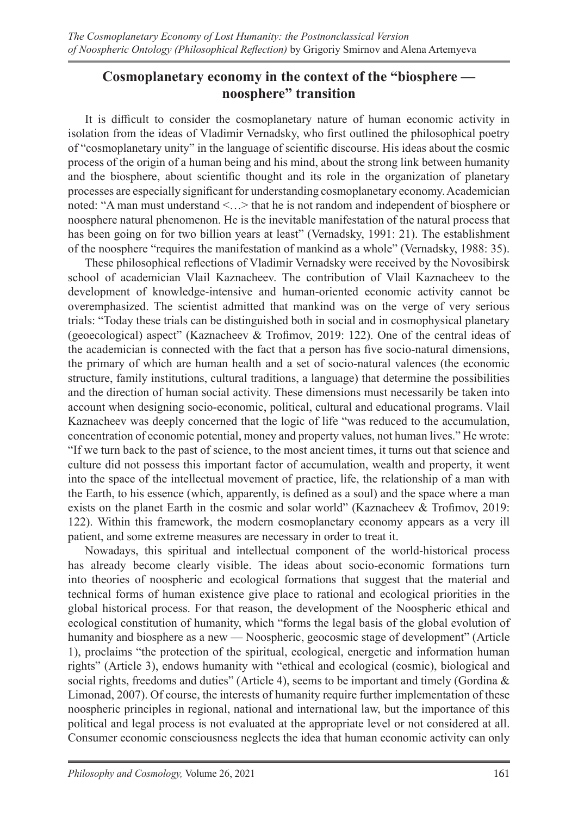# **Cosmoplanetary economy in the context of the "biosphere noosphere" transition**

It is difficult to consider the cosmoplanetary nature of human economic activity in isolation from the ideas of Vladimir Vernadsky, who first outlined the philosophical poetry of "cosmoplanetary unity" in the language of scientific discourse. His ideas about the cosmic process of the origin of a human being and his mind, about the strong link between humanity and the biosphere, about scientific thought and its role in the organization of planetary processes are especially significant for understanding cosmoplanetary economy. Academician noted: "A man must understand <…> that he is not random and independent of biosphere or noosphere natural phenomenon. He is the inevitable manifestation of the natural process that has been going on for two billion years at least" (Vernadsky, 1991: 21). The establishment of the noosphere "requires the manifestation of mankind as a whole" (Vernadsky, 1988: 35).

These philosophical reflections of Vladimir Vernadsky were received by the Novosibirsk school of academician Vlail Kaznacheev. The contribution of Vlail Kaznacheev to the development of knowledge-intensive and human-oriented economic activity cannot be overemphasized. The scientist admitted that mankind was on the verge of very serious trials: "Today these trials can be distinguished both in social and in cosmophysical planetary (geoecological) aspect" (Kaznacheev & Trofimov, 2019: 122). One of the central ideas of the academician is connected with the fact that a person has five socio-natural dimensions, the primary of which are human health and a set of socio-natural valences (the economic structure, family institutions, cultural traditions, a language) that determine the possibilities and the direction of human social activity. These dimensions must necessarily be taken into account when designing socio-economic, political, cultural and educational programs. Vlail Kaznacheev was deeply concerned that the logic of life "was reduced to the accumulation, concentration of economic potential, money and property values, not human lives." He wrote: "If we turn back to the past of science, to the most ancient times, it turns out that science and culture did not possess this important factor of accumulation, wealth and property, it went into the space of the intellectual movement of practice, life, the relationship of a man with the Earth, to his essence (which, apparently, is defined as a soul) and the space where a man exists on the planet Earth in the cosmic and solar world" (Kaznacheev & Trofimov, 2019: 122). Within this framework, the modern cosmoplanetary economy appears as a very ill patient, and some extreme measures are necessary in order to treat it.

Nowadays, this spiritual and intellectual component of the world-historical process has already become clearly visible. The ideas about socio-economic formations turn into theories of noospheric and ecological formations that suggest that the material and technical forms of human existence give place to rational and ecological priorities in the global historical process. For that reason, the development of the Noospheric ethical and ecological constitution of humanity, which "forms the legal basis of the global evolution of humanity and biosphere as a new — Noospheric, geocosmic stage of development" (Article 1), proclaims "the protection of the spiritual, ecological, energetic and information human rights" (Article 3), endows humanity with "ethical and ecological (cosmic), biological and social rights, freedoms and duties" (Article 4), seems to be important and timely (Gordina  $\&$ Limonad, 2007). Of course, the interests of humanity require further implementation of these noospheric principles in regional, national and international law, but the importance of this political and legal process is not evaluated at the appropriate level or not considered at all. Consumer economic consciousness neglects the idea that human economic activity can only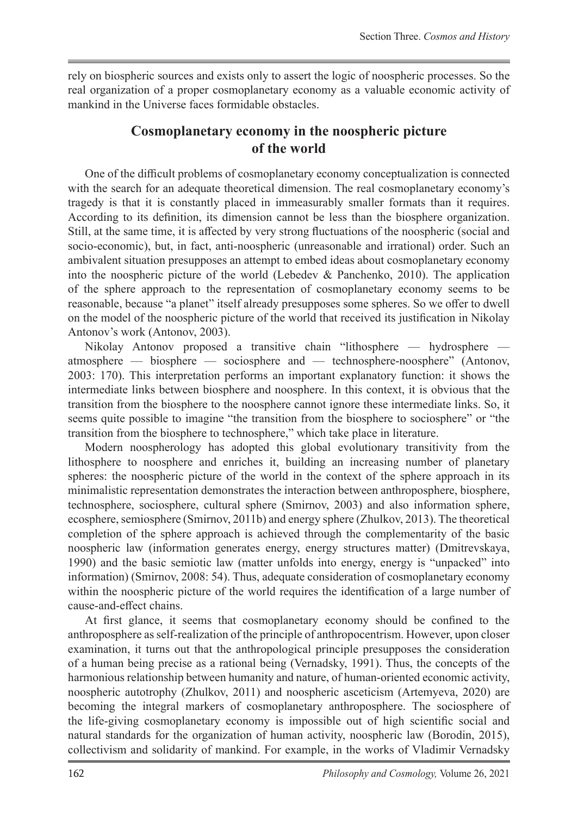rely on biospheric sources and exists only to assert the logic of noospheric processes. So the real organization of a proper cosmoplanetary economy as a valuable economic activity of mankind in the Universe faces formidable obstacles.

# **Cosmoplanetary economy in the noospheric picture of the world**

One of the difficult problems of cosmoplanetary economy conceptualization is connected with the search for an adequate theoretical dimension. The real cosmoplanetary economy's tragedy is that it is constantly placed in immeasurably smaller formats than it requires. According to its definition, its dimension cannot be less than the biosphere organization. Still, at the same time, it is affected by very strong fluctuations of the noospheric (social and socio-economic), but, in fact, anti-noospheric (unreasonable and irrational) order. Such an ambivalent situation presupposes an attempt to embed ideas about cosmoplanetary economy into the noospheric picture of the world (Lebedev & Panchenko, 2010). The application of the sphere approach to the representation of cosmoplanetary economy seems to be reasonable, because "a planet" itself already presupposes some spheres. So we offer to dwell on the model of the noospheric picture of the world that received its justification in Nikolay Antonov's work (Antonov, 2003).

Nikolay Antonov proposed a transitive chain "lithosphere — hydrosphere atmosphere — biosphere — sociosphere and — technosphere-noosphere" (Antonov, 2003: 170). This interpretation performs an important explanatory function: it shows the intermediate links between biosphere and noosphere. In this context, it is obvious that the transition from the biosphere to the noosphere cannot ignore these intermediate links. So, it seems quite possible to imagine "the transition from the biosphere to sociosphere" or "the transition from the biosphere to technosphere," which take place in literature.

Modern noospherology has adopted this global evolutionary transitivity from the lithosphere to noosphere and enriches it, building an increasing number of planetary spheres: the noospheric picture of the world in the context of the sphere approach in its minimalistic representation demonstrates the interaction between anthroposphere, biosphere, technosphere, sociosphere, cultural sphere (Smirnov, 2003) and also information sphere, ecosphere, semiosphere (Smirnov, 2011b) and energy sphere (Zhulkov, 2013). The theoretical completion of the sphere approach is achieved through the complementarity of the basic noospheric law (information generates energy, energy structures matter) (Dmitrevskaya, 1990) and the basic semiotic law (matter unfolds into energy, energy is "unpacked" into information) (Smirnov, 2008: 54). Thus, adequate consideration of cosmoplanetary economy within the noospheric picture of the world requires the identification of a large number of cause-and-effect chains.

At first glance, it seems that cosmoplanetary economy should be confined to the anthroposphere as self-realization of the principle of anthropocentrism. However, upon closer examination, it turns out that the anthropological principle presupposes the consideration of a human being precise as a rational being (Vernadsky, 1991). Thus, the concepts of the harmonious relationship between humanity and nature, of human-oriented economic activity, noospheric autotrophy (Zhulkov, 2011) and noospheric asceticism (Artemyeva, 2020) are becoming the integral markers of cosmoplanetary anthroposphere. The sociosphere of the life-giving cosmoplanetary economy is impossible out of high scientific social and natural standards for the organization of human activity, noospheric law (Borodin, 2015), collectivism and solidarity of mankind. For example, in the works of Vladimir Vernadsky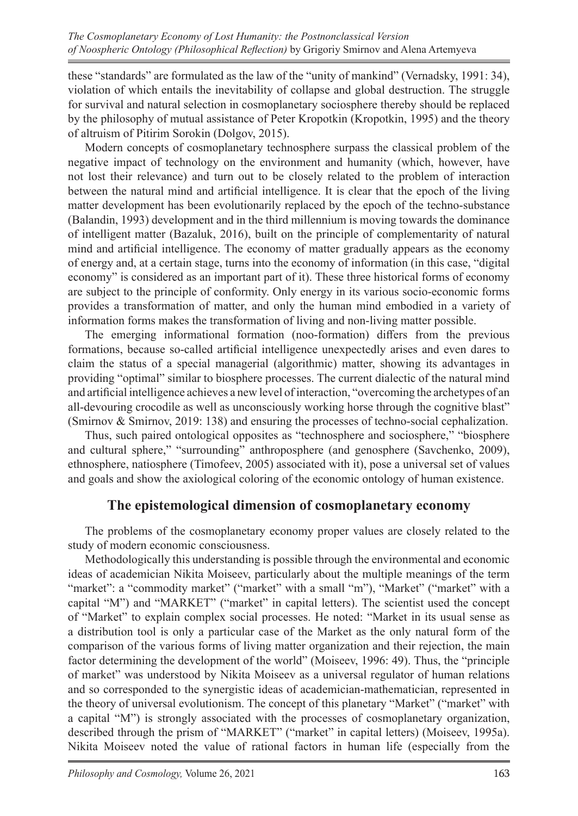these "standards" are formulated as the law of the "unity of mankind" (Vernadsky, 1991: 34), violation of which entails the inevitability of collapse and global destruction. The struggle for survival and natural selection in cosmoplanetary sociosphere thereby should be replaced by the philosophy of mutual assistance of Peter Kropotkin (Kropotkin, 1995) and the theory of altruism of Pitirim Sorokin (Dolgov, 2015).

Modern concepts of cosmoplanetary technosphere surpass the classical problem of the negative impact of technology on the environment and humanity (which, however, have not lost their relevance) and turn out to be closely related to the problem of interaction between the natural mind and artificial intelligence. It is clear that the epoch of the living matter development has been evolutionarily replaced by the epoch of the techno-substance (Balandin, 1993) development and in the third millennium is moving towards the dominance of intelligent matter (Bazaluk, 2016), built on the principle of complementarity of natural mind and artificial intelligence. The economy of matter gradually appears as the economy of energy and, at a certain stage, turns into the economy of information (in this case, "digital economy" is considered as an important part of it). These three historical forms of economy are subject to the principle of conformity. Only energy in its various socio-economic forms provides a transformation of matter, and only the human mind embodied in a variety of information forms makes the transformation of living and non-living matter possible.

The emerging informational formation (noo-formation) differs from the previous formations, because so-called artificial intelligence unexpectedly arises and even dares to claim the status of a special managerial (algorithmic) matter, showing its advantages in providing "optimal" similar to biosphere processes. The current dialectic of the natural mind and artificial intelligence achieves a new level of interaction, "overcoming the archetypes of an all-devouring crocodile as well as unconsciously working horse through the cognitive blast" (Smirnov & Smirnov, 2019: 138) and ensuring the processes of techno-social cephalization.

Thus, such paired ontological opposites as "technosphere and sociosphere," "biosphere and cultural sphere," "surrounding" anthroposphere (and genosphere (Savchenko, 2009), ethnosphere, natiosphere (Timofeev, 2005) associated with it), pose a universal set of values and goals and show the axiological coloring of the economic ontology of human existence.

## **The epistemological dimension of cosmoplanetary economy**

The problems of the cosmoplanetary economy proper values are closely related to the study of modern economic consciousness.

Methodologically this understanding is possible through the environmental and economic ideas of academician Nikita Moiseev, particularly about the multiple meanings of the term "market": a "commodity market" ("market" with a small "m"), "Market" ("market" with a capital "M") and "MARKET" ("market" in capital letters). The scientist used the concept of "Market" to explain complex social processes. He noted: "Market in its usual sense as a distribution tool is only a particular case of the Market as the only natural form of the comparison of the various forms of living matter organization and their rejection, the main factor determining the development of the world" (Moiseev, 1996: 49). Thus, the "principle of market" was understood by Nikita Moiseev as a universal regulator of human relations and so corresponded to the synergistic ideas of academician-mathematician, represented in the theory of universal evolutionism. The concept of this planetary "Market" ("market" with a capital "M") is strongly associated with the processes of cosmoplanetary organization, described through the prism of "MARKET" ("market" in capital letters) (Moiseev, 1995a). Nikita Moiseev noted the value of rational factors in human life (especially from the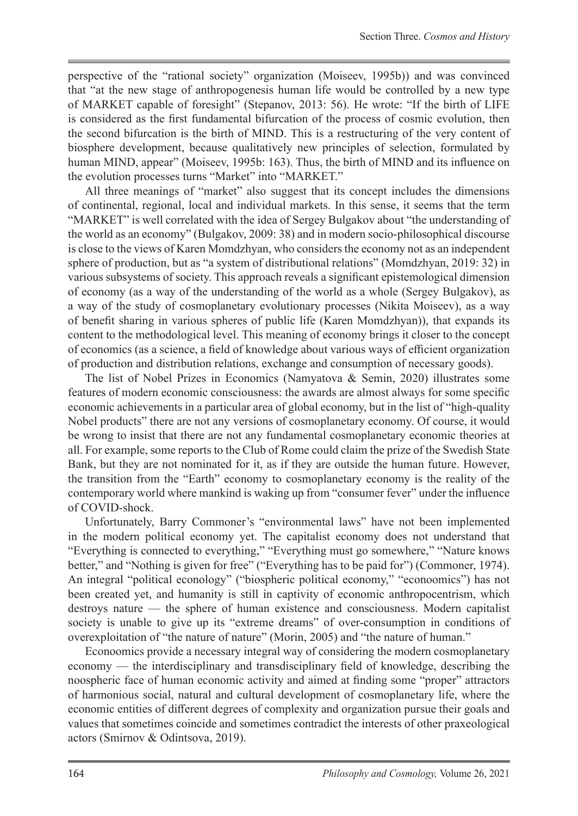perspective of the "rational society" organization (Moiseev, 1995b)) and was convinced that "at the new stage of anthropogenesis human life would be controlled by a new type of MARKET capable of foresight" (Stepanov, 2013: 56). He wrote: "If the birth of LIFE is considered as the first fundamental bifurcation of the process of cosmic evolution, then the second bifurcation is the birth of MIND. This is a restructuring of the very content of biosphere development, because qualitatively new principles of selection, formulated by human MIND, appear" (Moiseev, 1995b: 163). Thus, the birth of MIND and its influence on the evolution processes turns "Market" into "MARKET."

All three meanings of "market" also suggest that its concept includes the dimensions of continental, regional, local and individual markets. In this sense, it seems that the term "MARKET" is well correlated with the idea of Sergey Bulgakov about "the understanding of the world as an economy" (Bulgakov, 2009: 38) and in modern socio-philosophical discourse is close to the views of Karen Momdzhyan, who considers the economy not as an independent sphere of production, but as "a system of distributional relations" (Momdzhyan, 2019: 32) in various subsystems of society. This approach reveals a significant epistemological dimension of economy (as a way of the understanding of the world as a whole (Sergey Bulgakov), as a way of the study of cosmoplanetary evolutionary processes (Nikita Moiseev), as a way of benefit sharing in various spheres of public life (Karen Momdzhyan)), that expands its content to the methodological level. This meaning of economy brings it closer to the concept of economics (as a science, a field of knowledge about various ways of efficient organization of production and distribution relations, exchange and consumption of necessary goods).

The list of Nobel Prizes in Economics (Namyatova & Semin, 2020) illustrates some features of modern economic consciousness: the awards are almost always for some specific economic achievements in a particular area of global economy, but in the list of "high-quality Nobel products" there are not any versions of cosmoplanetary economy. Of course, it would be wrong to insist that there are not any fundamental cosmoplanetary economic theories at all. For example, some reports to the Club of Rome could claim the prize of the Swedish State Bank, but they are not nominated for it, as if they are outside the human future. However, the transition from the "Earth" economy to cosmoplanetary economy is the reality of the contemporary world where mankind is waking up from "consumer fever" under the influence of COVID-shock.

Unfortunately, Barry Commoner's "environmental laws" have not been implemented in the modern political economy yet. The capitalist economy does not understand that "Everything is connected to everything," "Everything must go somewhere," "Nature knows better," and "Nothing is given for free" ("Everything has to be paid for") (Commoner, 1974). An integral "political econology" ("biospheric political economy," "econoomics") has not been created yet, and humanity is still in captivity of economic anthropocentrism, which destroys nature — the sphere of human existence and consciousness. Modern capitalist society is unable to give up its "extreme dreams" of over-consumption in conditions of overexploitation of "the nature of nature" (Morin, 2005) and "the nature of human."

Econoomics provide a necessary integral way of considering the modern cosmoplanetary economy — the interdisciplinary and transdisciplinary field of knowledge, describing the noospheric face of human economic activity and aimed at finding some "proper" attractors of harmonious social, natural and cultural development of cosmoplanetary life, where the economic entities of different degrees of complexity and organization pursue their goals and values that sometimes coincide and sometimes contradict the interests of other praxeological actors (Smirnov & Odintsova, 2019).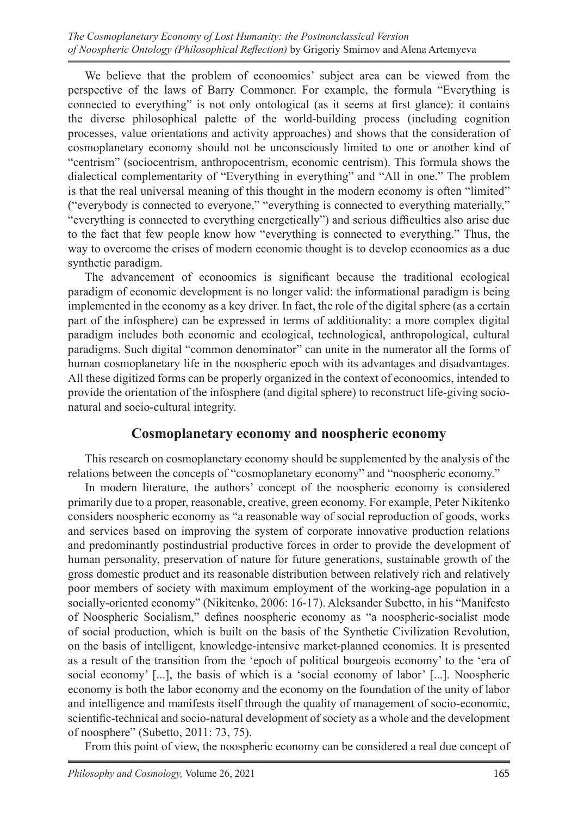We believe that the problem of econoomics' subject area can be viewed from the perspective of the laws of Barry Commoner. For example, the formula "Everything is connected to everything" is not only ontological (as it seems at first glance): it contains the diverse philosophical palette of the world-building process (including cognition processes, value orientations and activity approaches) and shows that the consideration of cosmoplanetary economy should not be unconsciously limited to one or another kind of "centrism" (sociocentrism, anthropocentrism, economic centrism). This formula shows the dialectical complementarity of "Everything in everything" and "All in one." The problem is that the real universal meaning of this thought in the modern economy is often "limited" ("everybody is connected to everyone," "everything is connected to everything materially," "everything is connected to everything energetically") and serious difficulties also arise due to the fact that few people know how "everything is connected to everything." Thus, the way to overcome the crises of modern economic thought is to develop econoomics as a due synthetic paradigm.

The advancement of econoomics is significant because the traditional ecological paradigm of economic development is no longer valid: the informational paradigm is being implemented in the economy as a key driver. In fact, the role of the digital sphere (as a certain part of the infosphere) can be expressed in terms of additionality: a more complex digital paradigm includes both economic and ecological, technological, anthropological, cultural paradigms. Such digital "common denominator" can unite in the numerator all the forms of human cosmoplanetary life in the noospheric epoch with its advantages and disadvantages. All these digitized forms can be properly organized in the context of econoomics, intended to provide the orientation of the infosphere (and digital sphere) to reconstruct life-giving socionatural and socio-cultural integrity.

#### **Cosmoplanetary economy and noospheric economy**

This research on cosmoplanetary economy should be supplemented by the analysis of the relations between the concepts of "cosmoplanetary economy" and "noospheric economy."

In modern literature, the authors' concept of the noospheric economy is considered primarily due to a proper, reasonable, creative, green economy. For example, Peter Nikitenko considers noospheric economy as "a reasonable way of social reproduction of goods, works and services based on improving the system of corporate innovative production relations and predominantly postindustrial productive forces in order to provide the development of human personality, preservation of nature for future generations, sustainable growth of the gross domestic product and its reasonable distribution between relatively rich and relatively poor members of society with maximum employment of the working-age population in a socially-oriented economy" (Nikitenko, 2006: 16-17). Aleksander Subetto, in his "Manifesto of Noospheric Socialism," defines noospheric economy as "a noospheric-socialist mode of social production, which is built on the basis of the Synthetic Civilization Revolution, on the basis of intelligent, knowledge-intensive market-planned economies. It is presented as a result of the transition from the 'epoch of political bourgeois economy' to the 'era of social economy' [...], the basis of which is a 'social economy of labor' [...]. Noospheric economy is both the labor economy and the economy on the foundation of the unity of labor and intelligence and manifests itself through the quality of management of socio-economic, scientific-technical and socio-natural development of society as a whole and the development of noosphere" (Subetto, 2011: 73, 75).

From this point of view, the noospheric economy can be considered a real due concept of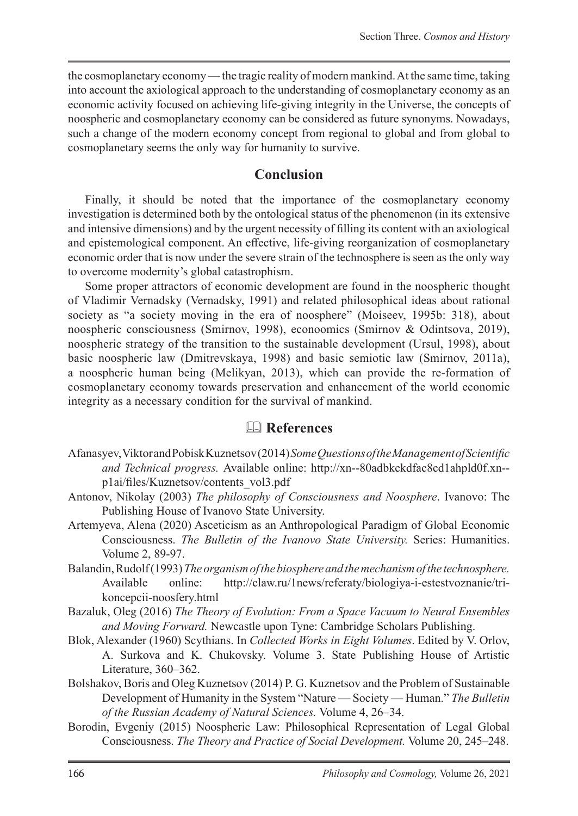the cosmoplanetary economy— the tragic reality of modern mankind. At the same time, taking into account the axiological approach to the understanding of cosmoplanetary economy as an economic activity focused on achieving life-giving integrity in the Universe, the concepts of noospheric and cosmoplanetary economy can be considered as future synonyms. Nowadays, such a change of the modern economy concept from regional to global and from global to cosmoplanetary seems the only way for humanity to survive.

#### **Conclusion**

Finally, it should be noted that the importance of the cosmoplanetary economy investigation is determined both by the ontological status of the phenomenon (in its extensive and intensive dimensions) and by the urgent necessity of filling its content with an axiological and epistemological component. An effective, life-giving reorganization of cosmoplanetary economic order that is now under the severe strain of the technosphere is seen as the only way to overcome modernity's global catastrophism.

Some proper attractors of economic development are found in the noospheric thought of Vladimir Vernadsky (Vernadsky, 1991) and related philosophical ideas about rational society as "a society moving in the era of noosphere" (Moiseev, 1995b: 318), about noospheric consciousness (Smirnov, 1998), econoomics (Smirnov & Odintsova, 2019), noospheric strategy of the transition to the sustainable development (Ursul, 1998), about basic noospheric law (Dmitrevskaya, 1998) and basic semiotic law (Smirnov, 2011a), a noospheric human being (Melikyan, 2013), which can provide the re-formation of cosmoplanetary economy towards preservation and enhancement of the world economic integrity as a necessary condition for the survival of mankind.

## **References**

- Afanasyev, Viktor and Pobisk Kuznetsov (2014) *Some Questions of the Management of Scientific and Technical progress.* Available online: http://xn--80adbkckdfac8cd1ahpld0f.xn- p1ai/files/Kuznetsov/contents\_vol3.pdf
- Antonov, Nikolay (2003) *The philosophy of Consciousness and Noosphere*. Ivanovo: The Publishing House of Ivanovo State University.
- Artemyeva, Alena (2020) Asceticism as an Anthropological Paradigm of Global Economic Consciousness. *The Bulletin of the Ivanovo State University.* Series: Humanities. Volume 2, 89-97.
- Balandin, Rudolf (1993) *The organism of the biosphere and the mechanism of the technosphere.* Available online: http://claw.ru/1news/referaty/biologiya-i-estestvoznanie/trikoncepcii-noosfery.html
- Bazaluk, Oleg (2016) *The Theory of Evolution: From a Space Vacuum to Neural Ensembles and Moving Forward.* Newcastle upon Tyne: Cambridge Scholars Publishing.
- Blok, Alexander (1960) Scythians. In *Collected Works in Eight Volumes*. Edited by V. Orlov, A. Surkova and K. Chukovsky. Volume 3. State Publishing House of Artistic Literature, 360–362.
- Bolshakov, Boris and Oleg Kuznetsov (2014) P. G. Kuznetsov and the Problem of Sustainable Development of Humanity in the System "Nature — Society — Human." *The Bulletin of the Russian Academy of Natural Sciences.* Volume 4, 26–34.
- Borodin, Evgeniy (2015) Noospheric Law: Philosophical Representation of Legal Global Consciousness. *The Theory and Practice of Social Development.* Volume 20, 245–248.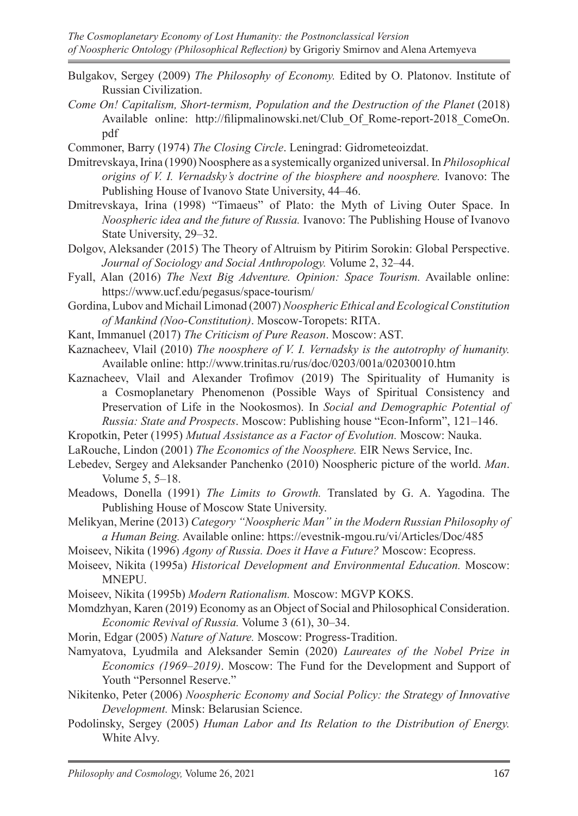- Bulgakov, Sergey (2009) *The Philosophy of Economy.* Edited by O. Platonov. Institute of Russian Civilization.
- *Come On! Capitalism, Short-termism, Population and the Destruction of the Planet* (2018) Available online: http://filipmalinowski.net/Club Of Rome-report-2018 ComeOn. pdf
- Commoner, Barry (1974) *The Closing Circle*. Leningrad: Gidrometeoizdat.
- Dmitrevskaya, Irina (1990) Noosphere as a systemically organized universal. In *Philosophical origins of V. I. Vernadsky's doctrine of the biosphere and noosphere.* Ivanovo: The Publishing House of Ivanovo State University, 44–46.
- Dmitrevskaya, Irina (1998) "Timaeus" of Plato: the Myth of Living Outer Space. In *Noospheric idea and the future of Russia.* Ivanovo: The Publishing House of Ivanovo State University, 29–32.
- Dolgov, Aleksander (2015) The Theory of Altruism by Pitirim Sorokin: Global Perspective. *Journal of Sociology and Social Anthropology.* Volume 2, 32–44.
- Fyall, Alan (2016) *The Next Big Adventure. Opinion: Space Tourism.* Available online: https://www.ucf.edu/pegasus/space-tourism/
- Gordina, Lubov and Michail Limonad (2007) *Noospheric Ethical and Ecological Constitution of Mankind (Noo-Constitution)*. Moscow-Toropets: RITA.
- Kant, Immanuel (2017) *The Criticism of Pure Reason*. Moscow: AST.
- Kaznacheev, Vlail (2010) *The noosphere of V. I. Vernadsky is the autotrophy of humanity.* Available online: http://www.trinitas.ru/rus/doc/0203/001a/02030010.htm
- Kaznacheev, Vlail and Alexander Trofimov (2019) The Spirituality of Humanity is a Cosmoplanetary Phenomenon (Possible Ways of Spiritual Consistency and Preservation of Life in the Nookosmos). In *Social and Demographic Potential of Russia: State and Prospects*. Moscow: Publishing house "Econ-Inform", 121–146.
- Kropotkin, Peter (1995) *Mutual Assistance as a Factor of Evolution.* Moscow: Nauka.
- LaRouche, Lindon (2001) *The Economics of the Noosphere.* EIR News Service, Inc.
- Lebedev, Sergey and Aleksander Panchenko (2010) Noospheric picture of the world. *Man*. Volume 5, 5–18.
- Meadows, Donella (1991) *The Limits to Growth.* Translated by G. A. Yagodina. The Publishing House of Moscow State University.
- Melikyan, Merine (2013) *Category "Noospheric Man" in the Modern Russian Philosophy of a Human Being.* Available online: https://evestnik-mgou.ru/vi/Articles/Doc/485
- Moiseev, Nikita (1996) *Agony of Russia. Does it Have a Future?* Moscow: Ecopress.
- Moiseev, Nikita (1995a) *Historical Development and Environmental Education.* Moscow: MNEPU.
- Moiseev, Nikita (1995b) *Modern Rationalism.* Moscow: MGVP KOKS.
- Momdzhyan, Karen (2019) Economy as an Object of Social and Philosophical Consideration. *Economic Revival of Russia.* Volume 3 (61), 30–34.
- Morin, Edgar (2005) *Nature of Nature.* Moscow: Progress-Tradition.
- Namyatova, Lyudmila and Aleksander Semin (2020) *Laureates of the Nobel Prize in Economics (1969–2019)*. Moscow: The Fund for the Development and Support of Youth "Personnel Reserve."
- Nikitenko, Peter (2006) *Noospheric Economy and Social Policy: the Strategy of Innovative Development.* Minsk: Belarusian Science.
- Podolinsky, Sergey (2005) *Human Labor and Its Relation to the Distribution of Energy.* White Alvy.